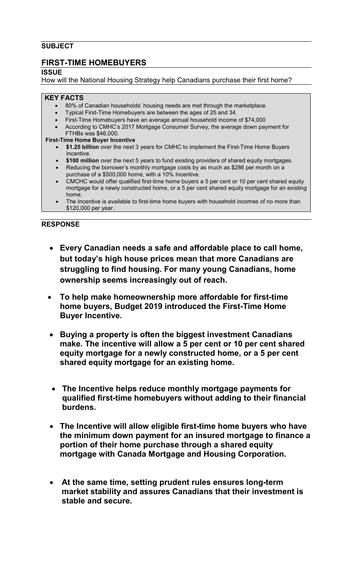## **SUBJECT**

# **FIRST-TIME HOMEBUYERS**

**ISSUE** 

How will the National Housing Strategy help Canadians purchase their first home?

### **KEY FACTS**

- 80% of Canadian households' housing needs are met through the marketplace.
- Typical First-Time Homebuyers are between the ages of 25 and 34.
- First-Time Homebuyers have an average annual household income of \$74,000
- According to CMHC's 2017 Mortgage Consumer Survey, the average down payment for FTHBs was \$46,000.

### **First-Time Home Buyer Incentive**

- **\$1.25 billion** over the next 3 years for CMHC to implement the First-Time Home Buyers Incentive.
- **\$100 million** over the next 5 years to fund existing providers of shared equity mortgages.
- Reducing the borrower's monthly mortgage costs by as much as \$286 per month on a purchase of a \$500,000 home, with a 10% Incentive.
- CMCHC would offer qualified first-time home buyers a 5 per cent or 10 per cent shared equity mortgage for a newly constructed home, or a 5 per cent shared equity mortgage for an existing home.
- The Incentive is available to first-time home buyers with household incomes of no more than \$120,000 per year.

### **RESPONSE**

- **Every Canadian needs a safe and affordable place to call home, but today's high house prices mean that more Canadians are struggling to find housing. For many young Canadians, home ownership seems increasingly out of reach.**
- **To help make homeownership more affordable for first-time home buyers, Budget 2019 introduced the First-Time Home Buyer Incentive.**
- **Buying a property is often the biggest investment Canadians make. The incentive will allow a 5 per cent or 10 per cent shared equity mortgage for a newly constructed home, or a 5 per cent shared equity mortgage for an existing home.**
- **The Incentive helps reduce monthly mortgage payments for qualified first-time homebuyers without adding to their financial burdens.**
- **The Incentive will allow eligible first-time home buyers who have the minimum down payment for an insured mortgage to finance a portion of their home purchase through a shared equity mortgage with Canada Mortgage and Housing Corporation.**
- **At the same time, setting prudent rules ensures long-term market stability and assures Canadians that their investment is stable and secure.**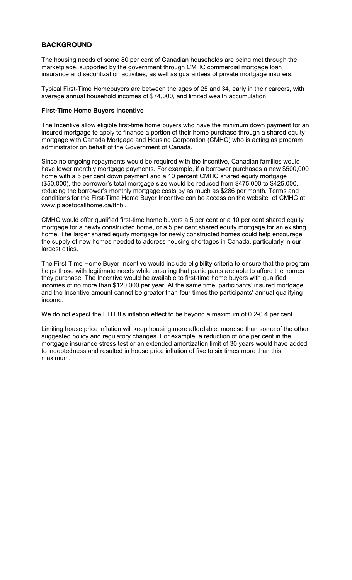### **BACKGROUND**

The housing needs of some 80 per cent of Canadian households are being met through the marketplace, supported by the government through CMHC commercial mortgage loan insurance and securitization activities, as well as guarantees of private mortgage insurers.

Typical First-Time Homebuyers are between the ages of 25 and 34, early in their careers, with average annual household incomes of \$74,000, and limited wealth accumulation.

#### **First-Time Home Buyers Incentive**

The Incentive allow eligible first-time home buyers who have the minimum down payment for an insured mortgage to apply to finance a portion of their home purchase through a shared equity mortgage with Canada Mortgage and Housing Corporation (CMHC) who is acting as program administrator on behalf of the Government of Canada.

Since no ongoing repayments would be required with the Incentive, Canadian families would have lower monthly mortgage payments. For example, if a borrower purchases a new \$500,000 home with a 5 per cent down payment and a 10 percent CMHC shared equity mortgage (\$50,000), the borrower's total mortgage size would be reduced from \$475,000 to \$425,000, reducing the borrower's monthly mortgage costs by as much as \$286 per month. Terms and conditions for the First-Time Home Buyer Incentive can be access on the website of CMHC at [www.placetocallhome.ca/fthbi.](https://www.placetocallhome.ca/fthbi/first-time-homebuyer-incentive?utm_source=vanity&utm_medium=redirect&utm_campaign=fthbi) 

CMHC would offer qualified first-time home buyers a 5 per cent or a 10 per cent shared equity mortgage for a newly constructed home, or a 5 per cent shared equity mortgage for an existing home. The larger shared equity mortgage for newly constructed homes could help encourage the supply of new homes needed to address housing shortages in Canada, particularly in our largest cities.

The First-Time Home Buyer Incentive would include eligibility criteria to ensure that the program helps those with legitimate needs while ensuring that participants are able to afford the homes they purchase. The Incentive would be available to first-time home buyers with qualified incomes of no more than \$120,000 per year. At the same time, participants' insured mortgage and the Incentive amount cannot be greater than four times the participants' annual qualifying income.

We do not expect the FTHBI's inflation effect to be beyond a maximum of 0.2-0.4 per cent.

Limiting house price inflation will keep housing more affordable, more so than some of the other suggested policy and regulatory changes. For example, a reduction of one per cent in the mortgage insurance stress test or an extended amortization limit of 30 years would have added to indebtedness and resulted in house price inflation of five to six times more than this maximum.